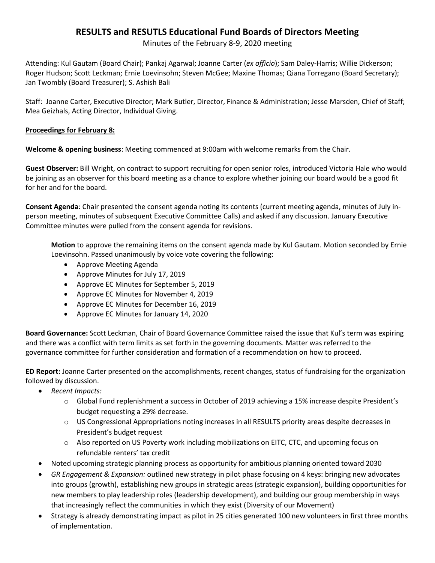# **RESULTS and RESUTLS Educational Fund Boards of Directors Meeting**

Minutes of the February 8-9, 2020 meeting

Attending: Kul Gautam (Board Chair); Pankaj Agarwal; Joanne Carter (*ex officio*); Sam Daley-Harris; Willie Dickerson; Roger Hudson; Scott Leckman; Ernie Loevinsohn; Steven McGee; Maxine Thomas; Qiana Torregano (Board Secretary); Jan Twombly (Board Treasurer); S. Ashish Bali

Staff: Joanne Carter, Executive Director; Mark Butler, Director, Finance & Administration; Jesse Marsden, Chief of Staff; Mea Geizhals, Acting Director, Individual Giving.

## **Proceedings for February 8:**

**Welcome & opening business**: Meeting commenced at 9:00am with welcome remarks from the Chair.

**Guest Observer:** Bill Wright, on contract to support recruiting for open senior roles, introduced Victoria Hale who would be joining as an observer for this board meeting as a chance to explore whether joining our board would be a good fit for her and for the board.

**Consent Agenda**: Chair presented the consent agenda noting its contents (current meeting agenda, minutes of July inperson meeting, minutes of subsequent Executive Committee Calls) and asked if any discussion. January Executive Committee minutes were pulled from the consent agenda for revisions.

**Motion** to approve the remaining items on the consent agenda made by Kul Gautam. Motion seconded by Ernie Loevinsohn. Passed unanimously by voice vote covering the following:

- Approve Meeting Agenda
- Approve Minutes for July 17, 2019
- Approve EC Minutes for September 5, 2019
- Approve EC Minutes for November 4, 2019
- Approve EC Minutes for December 16, 2019
- Approve EC Minutes for January 14, 2020

**Board Governance:** Scott Leckman, Chair of Board Governance Committee raised the issue that Kul's term was expiring and there was a conflict with term limits as set forth in the governing documents. Matter was referred to the governance committee for further consideration and formation of a recommendation on how to proceed.

**ED Report:** Joanne Carter presented on the accomplishments, recent changes, status of fundraising for the organization followed by discussion.

- *Recent Impacts:*
	- $\circ$  Global Fund replenishment a success in October of 2019 achieving a 15% increase despite President's budget requesting a 29% decrease.
	- o US Congressional Appropriations noting increases in all RESULTS priority areas despite decreases in President's budget request
	- $\circ$  Also reported on US Poverty work including mobilizations on EITC, CTC, and upcoming focus on refundable renters' tax credit
- Noted upcoming strategic planning process as opportunity for ambitious planning oriented toward 2030
- *GR Engagement & Expansion:* outlined new strategy in pilot phase focusing on 4 keys: bringing new advocates into groups (growth), establishing new groups in strategic areas (strategic expansion), building opportunities for new members to play leadership roles (leadership development), and building our group membership in ways that increasingly reflect the communities in which they exist (Diversity of our Movement)
- Strategy is already demonstrating impact as pilot in 25 cities generated 100 new volunteers in first three months of implementation.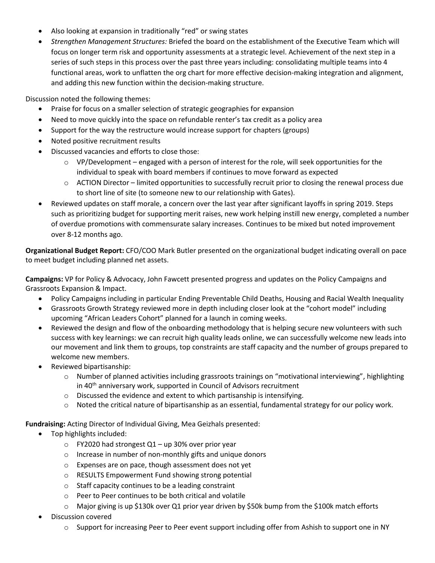- Also looking at expansion in traditionally "red" or swing states
- *Strengthen Management Structures:* Briefed the board on the establishment of the Executive Team which will focus on longer term risk and opportunity assessments at a strategic level. Achievement of the next step in a series of such steps in this process over the past three years including: consolidating multiple teams into 4 functional areas, work to unflatten the org chart for more effective decision-making integration and alignment, and adding this new function within the decision-making structure.

Discussion noted the following themes:

- Praise for focus on a smaller selection of strategic geographies for expansion
- Need to move quickly into the space on refundable renter's tax credit as a policy area
- Support for the way the restructure would increase support for chapters (groups)
- Noted positive recruitment results
- Discussed vacancies and efforts to close those:
	- $\circ$  VP/Development engaged with a person of interest for the role, will seek opportunities for the individual to speak with board members if continues to move forward as expected
	- $\circ$  ACTION Director limited opportunities to successfully recruit prior to closing the renewal process due to short line of site (to someone new to our relationship with Gates).
- Reviewed updates on staff morale, a concern over the last year after significant layoffs in spring 2019. Steps such as prioritizing budget for supporting merit raises, new work helping instill new energy, completed a number of overdue promotions with commensurate salary increases. Continues to be mixed but noted improvement over 8-12 months ago.

**Organizational Budget Report:** CFO/COO Mark Butler presented on the organizational budget indicating overall on pace to meet budget including planned net assets.

**Campaigns:** VP for Policy & Advocacy, John Fawcett presented progress and updates on the Policy Campaigns and Grassroots Expansion & Impact.

- Policy Campaigns including in particular Ending Preventable Child Deaths, Housing and Racial Wealth Inequality
- Grassroots Growth Strategy reviewed more in depth including closer look at the "cohort model" including upcoming "African Leaders Cohort" planned for a launch in coming weeks.
- Reviewed the design and flow of the onboarding methodology that is helping secure new volunteers with such success with key learnings: we can recruit high quality leads online, we can successfully welcome new leads into our movement and link them to groups, top constraints are staff capacity and the number of groups prepared to welcome new members.
- Reviewed bipartisanship:
	- $\circ$  Number of planned activities including grassroots trainings on "motivational interviewing", highlighting in 40th anniversary work, supported in Council of Advisors recruitment
	- o Discussed the evidence and extent to which partisanship is intensifying.
	- $\circ$  Noted the critical nature of bipartisanship as an essential, fundamental strategy for our policy work.

**Fundraising:** Acting Director of Individual Giving, Mea Geizhals presented:

- Top highlights included:
	- $\circ$  FY2020 had strongest Q1 up 30% over prior year
	- o Increase in number of non-monthly gifts and unique donors
	- o Expenses are on pace, though assessment does not yet
	- o RESULTS Empowerment Fund showing strong potential
	- o Staff capacity continues to be a leading constraint
	- o Peer to Peer continues to be both critical and volatile
	- $\circ$  Major giving is up \$130k over Q1 prior year driven by \$50k bump from the \$100k match efforts
- Discussion covered
	- $\circ$  Support for increasing Peer to Peer event support including offer from Ashish to support one in NY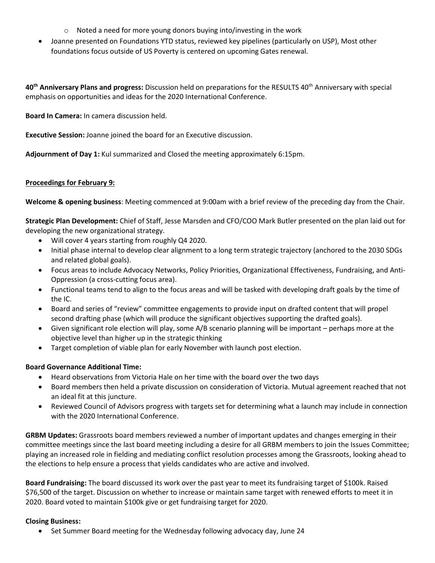- o Noted a need for more young donors buying into/investing in the work
- Joanne presented on Foundations YTD status, reviewed key pipelines (particularly on USP), Most other foundations focus outside of US Poverty is centered on upcoming Gates renewal.

**40th Anniversary Plans and progress:** Discussion held on preparations for the RESULTS 40th Anniversary with special emphasis on opportunities and ideas for the 2020 International Conference.

**Board In Camera:** In camera discussion held.

**Executive Session:** Joanne joined the board for an Executive discussion.

**Adjournment of Day 1:** Kul summarized and Closed the meeting approximately 6:15pm.

### **Proceedings for February 9:**

**Welcome & opening business**: Meeting commenced at 9:00am with a brief review of the preceding day from the Chair.

**Strategic Plan Development:** Chief of Staff, Jesse Marsden and CFO/COO Mark Butler presented on the plan laid out for developing the new organizational strategy.

- Will cover 4 years starting from roughly Q4 2020.
- Initial phase internal to develop clear alignment to a long term strategic trajectory (anchored to the 2030 SDGs and related global goals).
- Focus areas to include Advocacy Networks, Policy Priorities, Organizational Effectiveness, Fundraising, and Anti-Oppression (a cross-cutting focus area).
- Functional teams tend to align to the focus areas and will be tasked with developing draft goals by the time of the IC.
- Board and series of "review" committee engagements to provide input on drafted content that will propel second drafting phase (which will produce the significant objectives supporting the drafted goals).
- Given significant role election will play, some A/B scenario planning will be important perhaps more at the objective level than higher up in the strategic thinking
- Target completion of viable plan for early November with launch post election.

### **Board Governance Additional Time:**

- Heard observations from Victoria Hale on her time with the board over the two days
- Board members then held a private discussion on consideration of Victoria. Mutual agreement reached that not an ideal fit at this juncture.
- Reviewed Council of Advisors progress with targets set for determining what a launch may include in connection with the 2020 International Conference.

**GRBM Updates:** Grassroots board members reviewed a number of important updates and changes emerging in their committee meetings since the last board meeting including a desire for all GRBM members to join the Issues Committee; playing an increased role in fielding and mediating conflict resolution processes among the Grassroots, looking ahead to the elections to help ensure a process that yields candidates who are active and involved.

**Board Fundraising:** The board discussed its work over the past year to meet its fundraising target of \$100k. Raised \$76,500 of the target. Discussion on whether to increase or maintain same target with renewed efforts to meet it in 2020. Board voted to maintain \$100k give or get fundraising target for 2020.

### **Closing Business:**

• Set Summer Board meeting for the Wednesday following advocacy day, June 24